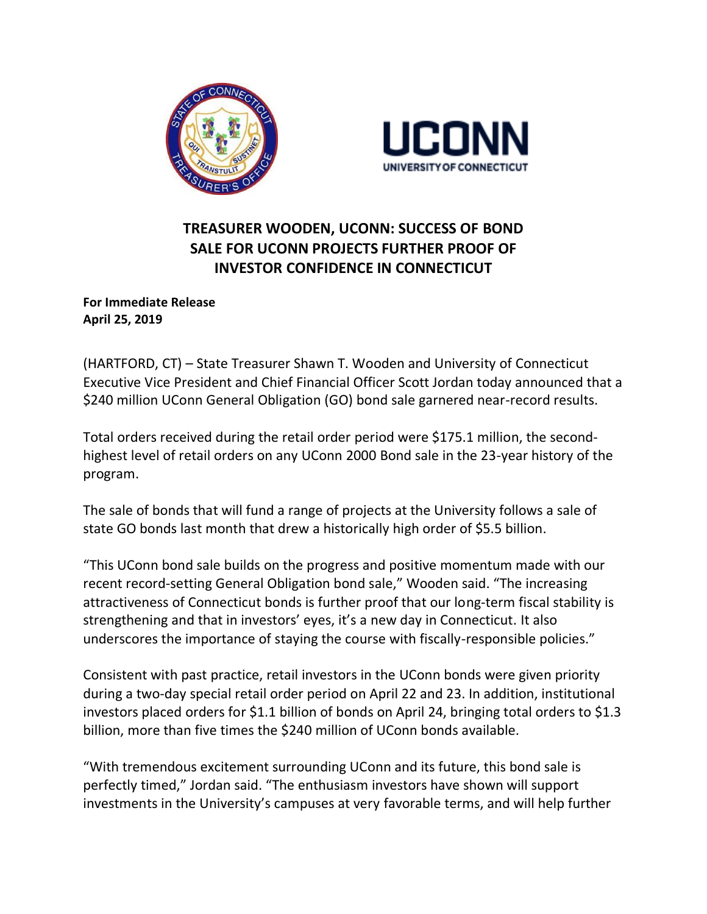



## **TREASURER WOODEN, UCONN: SUCCESS OF BOND SALE FOR UCONN PROJECTS FURTHER PROOF OF INVESTOR CONFIDENCE IN CONNECTICUT**

**For Immediate Release April 25, 2019** 

(HARTFORD, CT) – State Treasurer Shawn T. Wooden and University of Connecticut Executive Vice President and Chief Financial Officer Scott Jordan today announced that a \$240 million UConn General Obligation (GO) bond sale garnered near-record results.

Total orders received during the retail order period were \$175.1 million, the secondhighest level of retail orders on any UConn 2000 Bond sale in the 23-year history of the program.

The sale of bonds that will fund a range of projects at the University follows a sale of state GO bonds last month that drew a historically high order of \$5.5 billion.

"This UConn bond sale builds on the progress and positive momentum made with our recent record-setting General Obligation bond sale," Wooden said. "The increasing attractiveness of Connecticut bonds is further proof that our long-term fiscal stability is strengthening and that in investors' eyes, it's a new day in Connecticut. It also underscores the importance of staying the course with fiscally-responsible policies."

Consistent with past practice, retail investors in the UConn bonds were given priority during a two-day special retail order period on April 22 and 23. In addition, institutional investors placed orders for \$1.1 billion of bonds on April 24, bringing total orders to \$1.3 billion, more than five times the \$240 million of UConn bonds available.

"With tremendous excitement surrounding UConn and its future, this bond sale is perfectly timed," Jordan said. "The enthusiasm investors have shown will support investments in the University's campuses at very favorable terms, and will help further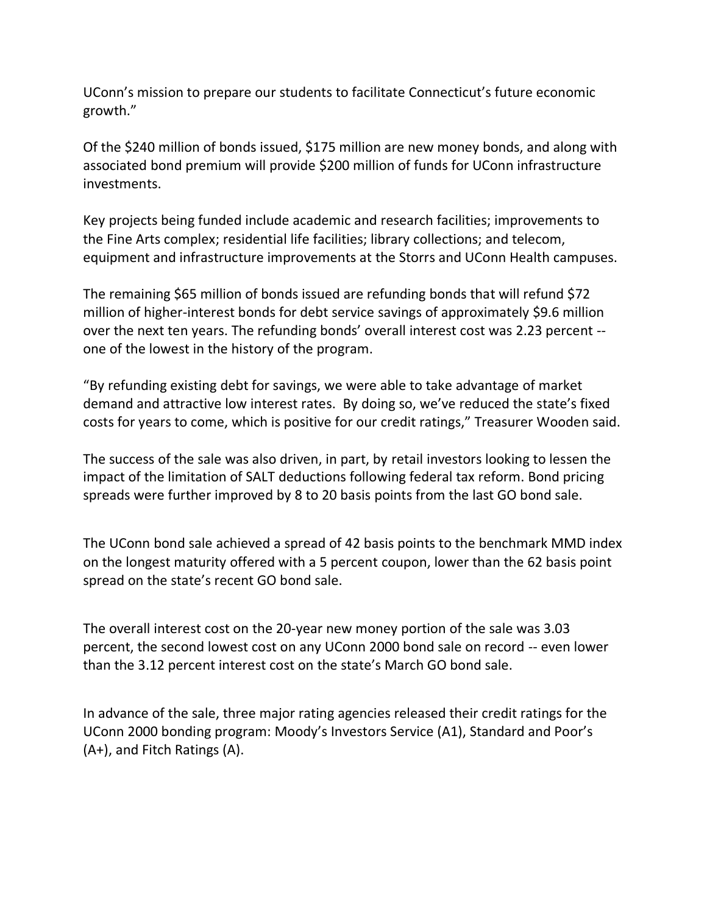UConn's mission to prepare our students to facilitate Connecticut's future economic growth."

Of the \$240 million of bonds issued, \$175 million are new money bonds, and along with associated bond premium will provide \$200 million of funds for UConn infrastructure investments.

Key projects being funded include academic and research facilities; improvements to the Fine Arts complex; residential life facilities; library collections; and telecom, equipment and infrastructure improvements at the Storrs and UConn Health campuses.

The remaining \$65 million of bonds issued are refunding bonds that will refund \$72 million of higher-interest bonds for debt service savings of approximately \$9.6 million over the next ten years. The refunding bonds' overall interest cost was 2.23 percent - one of the lowest in the history of the program.

"By refunding existing debt for savings, we were able to take advantage of market demand and attractive low interest rates. By doing so, we've reduced the state's fixed costs for years to come, which is positive for our credit ratings," Treasurer Wooden said.

The success of the sale was also driven, in part, by retail investors looking to lessen the impact of the limitation of SALT deductions following federal tax reform. Bond pricing spreads were further improved by 8 to 20 basis points from the last GO bond sale.

The UConn bond sale achieved a spread of 42 basis points to the benchmark MMD index on the longest maturity offered with a 5 percent coupon, lower than the 62 basis point spread on the state's recent GO bond sale.

The overall interest cost on the 20-year new money portion of the sale was 3.03 percent, the second lowest cost on any UConn 2000 bond sale on record -- even lower than the 3.12 percent interest cost on the state's March GO bond sale.

In advance of the sale, three major rating agencies released their credit ratings for the UConn 2000 bonding program: Moody's Investors Service (A1), Standard and Poor's (A+), and Fitch Ratings (A).